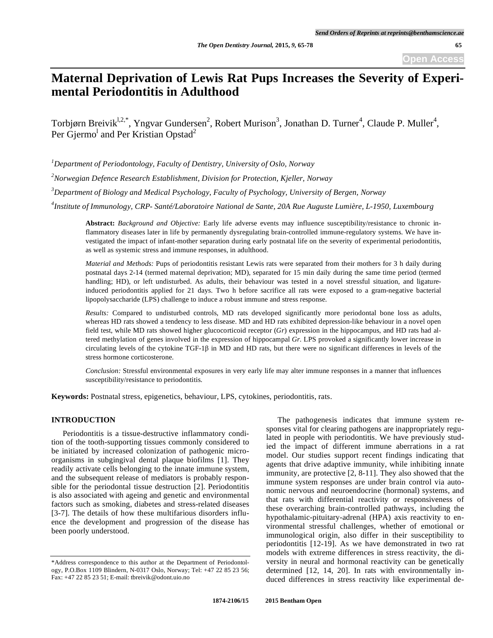# **Maternal Deprivation of Lewis Rat Pups Increases the Severity of Experimental Periodontitis in Adulthood**

Torbjørn Breivik<sup>1,2,\*</sup>, Yngvar Gundersen<sup>2</sup>, Robert Murison<sup>3</sup>, Jonathan D. Turner<sup>4</sup>, Claude P. Muller<sup>4</sup>, Per Gjermo<sup>l</sup> and Per Kristian Opstad<sup>2</sup>

*1 Department of Periodontology, Faculty of Dentistry, University of Oslo, Norway* 

*2 Norwegian Defence Research Establishment, Division for Protection, Kjeller, Norway* 

*3 Department of Biology and Medical Psychology, Faculty of Psychology, University of Bergen, Norway* 

*4 Institute of Immunology, CRP- Santé/Laboratoire National de Sante, 20A Rue Auguste Lumière, L-1950, Luxembourg* 

**Abstract:** *Background and Objective:* Early life adverse events may influence susceptibility/resistance to chronic inflammatory diseases later in life by permanently dysregulating brain-controlled immune-regulatory systems. We have investigated the impact of infant-mother separation during early postnatal life on the severity of experimental periodontitis, as well as systemic stress and immune responses, in adulthood.

*Material and Methods:* Pups of periodontitis resistant Lewis rats were separated from their mothers for 3 h daily during postnatal days 2-14 (termed maternal deprivation; MD), separated for 15 min daily during the same time period (termed handling; HD), or left undisturbed. As adults, their behaviour was tested in a novel stressful situation, and ligatureinduced periodontitis applied for 21 days. Two h before sacrifice all rats were exposed to a gram-negative bacterial lipopolysaccharide (LPS) challenge to induce a robust immune and stress response.

*Results:* Compared to undisturbed controls, MD rats developed significantly more periodontal bone loss as adults, whereas HD rats showed a tendency to less disease. MD and HD rats exhibited depression-like behaviour in a novel open field test, while MD rats showed higher glucocorticoid receptor (*Gr*) expression in the hippocampus, and HD rats had altered methylation of genes involved in the expression of hippocampal *Gr*. LPS provoked a significantly lower increase in circulating levels of the cytokine TGF-1 $\beta$  in MD and HD rats, but there were no significant differences in levels of the stress hormone corticosterone.

*Conclusion:* Stressful environmental exposures in very early life may alter immune responses in a manner that influences susceptibility/resistance to periodontitis.

**Keywords:** Postnatal stress, epigenetics, behaviour, LPS, cytokines, periodontitis, rats.

# **INTRODUCTION**

Periodontitis is a tissue-destructive inflammatory condition of the tooth-supporting tissues commonly considered to be initiated by increased colonization of pathogenic microorganisms in subgingival dental plaque biofilms [1]. They readily activate cells belonging to the innate immune system, and the subsequent release of mediators is probably responsible for the periodontal tissue destruction [2]. Periodontitis is also associated with ageing and genetic and environmental factors such as smoking, diabetes and stress-related diseases [3-7]. The details of how these multifarious disorders influence the development and progression of the disease has been poorly understood.

The pathogenesis indicates that immune system responses vital for clearing pathogens are inappropriately regulated in people with periodontitis. We have previously studied the impact of different immune aberrations in a rat model. Our studies support recent findings indicating that agents that drive adaptive immunity, while inhibiting innate immunity, are protective [2, 8-11]. They also showed that the immune system responses are under brain control via autonomic nervous and neuroendocrine (hormonal) systems, and that rats with differential reactivity or responsiveness of these overarching brain-controlled pathways, including the hypothalamic-pituitary-adrenal (HPA) axis reactivity to environmental stressful challenges, whether of emotional or immunological origin, also differ in their susceptibility to periodontitis [12-19]. As we have demonstrated in two rat models with extreme differences in stress reactivity, the diversity in neural and hormonal reactivity can be genetically determined [12, 14, 20]. In rats with environmentally induced differences in stress reactivity like experimental de-

<sup>\*</sup>Address correspondence to this author at the Department of Periodontology, P.O.Box 1109 Blindern, N-0317 Oslo, Norway; Tel: +47 22 85 23 56; Fax: +47 22 85 23 51; E-mail: tbreivik@odont.uio.no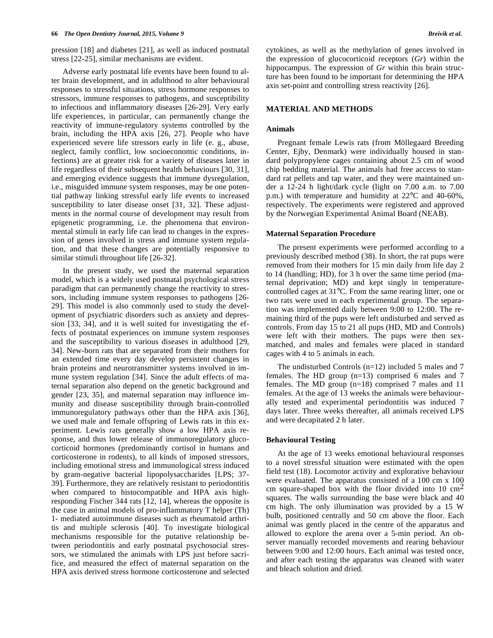pression [18] and diabetes [21], as well as induced postnatal stress [22-25], similar mechanisms are evident.

Adverse early postnatal life events have been found to alter brain development, and in adulthood to alter behavioural responses to stressful situations, stress hormone responses to stressors, immune responses to pathogens, and susceptibility to infectious and inflammatory diseases [26-29]. Very early life experiences, in particular, can permanently change the reactivity of immune-regulatory systems controlled by the brain, including the HPA axis [26, 27]. People who have experienced severe life stressors early in life (e. g., abuse, neglect, family conflict, low socioeconomic conditions, infections) are at greater risk for a variety of diseases later in life regardless of their subsequent health behaviours [30, 31], and emerging evidence suggests that immune dysregulation, i.e., misguided immune system responses, may be one potential pathway linking stressful early life events to increased susceptibility to later disease onset [31, 32]. These adjustments in the normal course of development may result from epigenetic programming, i.e. the phenomena that environmental stimuli in early life can lead to changes in the expression of genes involved in stress and immune system regulation, and that these changes are potentially responsive to similar stimuli throughout life [26-32].

In the present study, we used the maternal separation model, which is a widely used postnatal psychological stress paradigm that can permanently change the reactivity to stressors, including immune system responses to pathogens [26- 29]. This model is also commonly used to study the development of psychiatric disorders such as anxiety and depression [33, 34], and it is well suited for investigating the effects of postnatal experiences on immune system responses and the susceptibility to various diseases in adulthood [29, 34]. New-born rats that are separated from their mothers for an extended time every day develop persistent changes in brain proteins and neurotransmitter systems involved in immune system regulation [34]. Since the adult effects of maternal separation also depend on the genetic background and gender [23, 35], and maternal separation may influence immunity and disease susceptibility through brain-controlled immunoregulatory pathways other than the HPA axis [36], we used male and female offspring of Lewis rats in this experiment. Lewis rats generally show a low HPA axis response, and thus lower release of immunoregulatory glucocorticoid hormones (predominantly cortisol in humans and corticosterone in rodents), to all kinds of imposed stressors, including emotional stress and immunological stress induced by gram-negative bacterial lipopolysaccharides [LPS; 37- 39]. Furthermore, they are relatively resistant to periodontitis when compared to histocompatible and HPA axis highresponding Fischer 344 rats [12, 14], whereas the opposite is the case in animal models of pro-inflammatory T helper (Th) 1- mediated autoimmune diseases such as rheumatoid arthritis and multiple sclerosis [40]. To investigate biological mechanisms responsible for the putative relationship between periodontitis and early postnatal psychosocial stressors, we stimulated the animals with LPS just before sacrifice, and measured the effect of maternal separation on the HPA axis derived stress hormone corticosterone and selected

cytokines, as well as the methylation of genes involved in the expression of glucocorticoid receptors (*Gr*) within the hippocampus. The expression of *Gr* within this brain structure has been found to be important for determining the HPA axis set-point and controlling stress reactivity [26].

### **MATERIAL AND METHODS**

#### **Animals**

Pregnant female Lewis rats (from Möllegaard Breeding Center, Ejby, Denmark) were individually housed in standard polypropylene cages containing about 2.5 cm of wood chip bedding material. The animals had free access to standard rat pellets and tap water, and they were maintained under a 12-24 h light/dark cycle (light on 7.00 a.m. to 7.00 p.m.) with temperature and humidity at 22°C and 40-60%, respectively. The experiments were registered and approved by the Norwegian Experimental Animal Board (NEAB).

### **Maternal Separation Procedure**

The present experiments were performed according to a previously described method (38). In short, the rat pups were removed from their mothers for 15 min daily from life day 2 to 14 (handling; HD), for 3 h over the same time period (maternal deprivation; MD) and kept singly in temperaturecontrolled cages at 31°C. From the same rearing litter, one or two rats were used in each experimental group. The separation was implemented daily between 9:00 to 12:00. The remaining third of the pups were left undisturbed and served as controls. From day 15 to 21 all pups (HD, MD and Controls) were left with their mothers. The pups were then sexmatched, and males and females were placed in standard cages with 4 to 5 animals in each.

The undisturbed Controls (n=12) included 5 males and 7 females. The HD group (n=13) comprised 6 males and 7 females. The MD group (n=18) comprised 7 males and 11 females. At the age of 13 weeks the animals were behaviourally tested and experimental periodontitis was induced 7 days later. Three weeks thereafter, all animals received LPS and were decapitated 2 h later.

#### **Behavioural Testing**

At the age of 13 weeks emotional behavioural responses to a novel stressful situation were estimated with the open field test (18). Locomotor activity and explorative behaviour were evaluated. The apparatus consisted of a 100 cm x 100 cm square-shaped box with the floor divided into 10  $\text{cm}^2$ squares. The walls surrounding the base were black and 40 cm high. The only illumination was provided by a 15 W bulb, positioned centrally and 50 cm above the floor. Each animal was gently placed in the centre of the apparatus and allowed to explore the arena over a 5-min period. An observer manually recorded movements and rearing behaviour between 9:00 and 12:00 hours. Each animal was tested once, and after each testing the apparatus was cleaned with water and bleach solution and dried.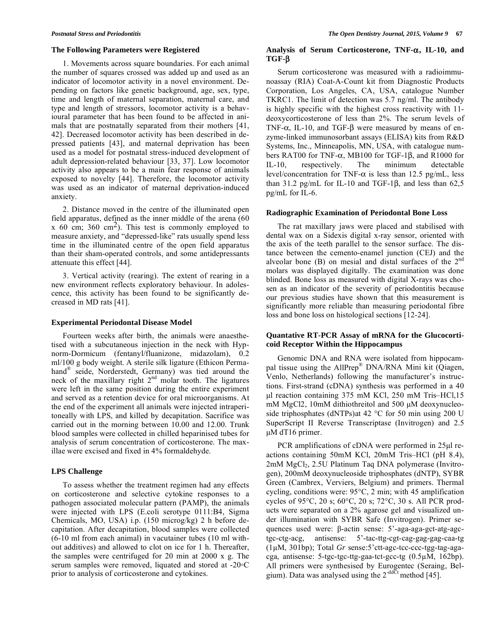#### **The Following Parameters were Registered**

1. Movements across square boundaries. For each animal the number of squares crossed was added up and used as an indicator of locomotor activity in a novel environment. Depending on factors like genetic background, age, sex, type, time and length of maternal separation, maternal care, and type and length of stressors, locomotor activity is a behavioural parameter that has been found to be affected in animals that are postnatally separated from their mothers [41, 42]. Decreased locomotor activity has been described in depressed patients [43], and maternal deprivation has been used as a model for postnatal stress-induced development of adult depression-related behaviour [33, 37]. Low locomotor activity also appears to be a main fear response of animals exposed to novelty [44]. Therefore, the locomotor activity was used as an indicator of maternal deprivation-induced anxiety.

2. Distance moved in the centre of the illuminated open field apparatus, defined as the inner middle of the arena (60 x 60 cm; 360 cm<sup>2</sup>). This test is commonly employed to measure anxiety, and "depressed-like" rats usually spend less time in the illuminated centre of the open field apparatus than their sham-operated controls, and some antidepressants attenuate this effect [44].

3. Vertical activity (rearing). The extent of rearing in a new environment reflects exploratory behaviour. In adolescence, this activity has been found to be significantly decreased in MD rats [41].

### **Experimental Periodontal Disease Model**

Fourteen weeks after birth, the animals were anaesthetised with a subcutaneous injection in the neck with Hypnorm-Dormicum (fentanyl/fluanizone, midazolam), 0.2 ml/100 g body weight. A sterile silk ligature (Ethicon Permahand® seide, Norderstedt, Germany) was tied around the neck of the maxillary right  $2<sup>nd</sup>$  molar tooth. The ligatures were left in the same position during the entire experiment and served as a retention device for oral microorganisms. At the end of the experiment all animals were injected intraperitoneally with LPS, and killed by decapitation. Sacrifice was carried out in the morning between 10.00 and 12.00. Trunk blood samples were collected in chilled heparinised tubes for analysis of serum concentration of corticosterone. The maxillae were excised and fixed in 4% formaldehyde.

#### **LPS Challenge**

To assess whether the treatment regimen had any effects on corticosterone and selective cytokine responses to a pathogen associated molecular pattern (PAMP), the animals were injected with LPS (E.coli serotype 0111:B4, Sigma Chemicals, MO, USA) i.p. (150 microg/kg) 2 h before decapitation. After decapitation, blood samples were collected (6-10 ml from each animal) in vacutainer tubes (10 ml without additives) and allowed to clot on ice for 1 h. Thereafter, the samples were centrifuged for 20 min at 2000 x g. The serum samples were removed, liquated and stored at -20 °C prior to analysis of corticosterone and cytokines.

# Analysis of Serum Corticosterone, TNF- $\alpha$ , IL-10, and **TGF-β**

Serum corticosterone was measured with a radioimmunoassay (RIA) Coat-A-Count kit from Diagnostic Products Corporation, Los Angeles, CA, USA, catalogue Number TKRC1. The limit of detection was 5.7 ng/ml. The antibody is highly specific with the highest cross reactivity with 11 deoxycorticosterone of less than 2%. The serum levels of TNF- $\alpha$ , IL-10, and TGF- $\beta$  were measured by means of enzyme-linked immunosorbant assays (ELISA) kits from R&D Systems, Inc., Minneapolis, MN, USA, with catalogue numbers RAT00 for TNF- $\alpha$ , MB100 for TGF-1 $\beta$ , and R1000 for IL-10, respectively. The minimum detectable level/concentration for TNF- $\alpha$  is less than 12.5 pg/mL, less than  $31.2$  pg/mL for IL-10 and TGF-1 $\beta$ , and less than  $62.5$ pg/mL for IL-6.

### **Radiographic Examination of Periodontal Bone Loss**

The rat maxillary jaws were placed and stabilised with dental wax on a Sidexis digital x-ray sensor, oriented with the axis of the teeth parallel to the sensor surface. The distance between the cemento-enamel junction (CEJ) and the alveolar bone  $(B)$  on mesial and distal surfaces of the  $2<sup>nd</sup>$ molars was displayed digitally. The examination was done blinded. Bone loss as measured with digital X-rays was chosen as an indicator of the severity of periodontitis because our previous studies have shown that this measurement is significantly more reliable than measuring periodontal fibre loss and bone loss on histological sections [12-24].

### **Quantative RT-PCR Assay of mRNA for the Glucocorticoid Receptor Within the Hippocampus**

Genomic DNA and RNA were isolated from hippocampal tissue using the AllPrep® DNA/RNA Mini kit (Qiagen, Venlo, Netherlands) following the manufacturer's instructions. First-strand (cDNA) synthesis was performed in a 40 μl reaction containing 375 mM KCl, 250 mM Tris–HCl,15 mM MgCl2, 10mM dithiothreitol and 500 μM deoxynucleoside triphosphates (dNTPs)at 42 °C for 50 min using 200 U SuperScript II Reverse Transcriptase (Invitrogen) and 2.5 μM dT16 primer.

PCR amplifications of cDNA were performed in 25μl reactions containing 50mM KCl, 20mM Tris–HCl (pH 8.4),  $2mM$  MgCl<sub>2</sub>, 2.5U Platinum Taq DNA polymerase (Invitrogen), 200mM deoxynucleoside triphosphates (dNTP), SYBR Green (Cambrex, Verviers, Belgium) and primers. Thermal cycling, conditions were: 95°C, 2 min; with 45 amplification cycles of 95°C, 20 s; 60°C, 20 s; 72°C, 30 s. All PCR products were separated on a 2% agarose gel and visualized under illumination with SYBR Safe (Invitrogen). Primer sequences used were:  $\beta$ -actin sense:  $5'$ -aga-aga-gct-atg-agctgc-ctg-acg, antisense: 5'-tac-ttg-cgt-cag-gag-gag-caa-tg (1M, 301bp); Total *Gr* sense:5'ctt-agc-tcc-ccc-tgg-tag-agacga, antisense: 5-tgc-tgc-ttg-gaa-tct-gcc-tg (0.5M, 162bp). All primers were synthesised by Eurogentec (Seraing, Belgium). Data was analysed using the  $2^{-ddCt}$  method [45].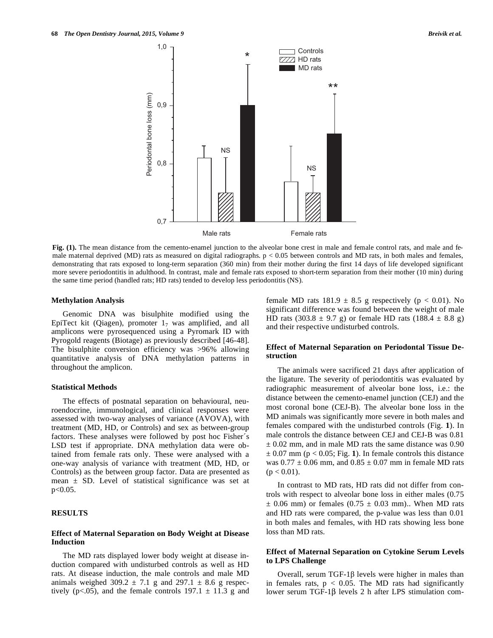

**Fig.** (1). The mean distance from the cemento-enamel junction to the alveolar bone crest in male and female control rats, and male and female maternal deprived (MD) rats as measured on digital radiographs. p < 0.05 between controls and MD rats, in both males and females, demonstrating that rats exposed to long-term separation (360 min) from their mother during the first 14 days of life developed significant more severe periodontitis in adulthood. In contrast, male and female rats exposed to short-term separation from their mother (10 min) during the same time period (handled rats; HD rats) tended to develop less periodontitis (NS).

### **Methylation Analysis**

Genomic DNA was bisulphite modified using the EpiTect kit (Qiagen), promoter  $1<sub>7</sub>$  was amplified, and all amplicons were pyrosequenced using a Pyromark ID with Pyrogold reagents (Biotage) as previously described [46-48]. The bisulphite conversion efficiency was >96% allowing quantitative analysis of DNA methylation patterns in throughout the amplicon.

### **Statistical Methods**

The effects of postnatal separation on behavioural, neuroendocrine, immunological, and clinical responses were assessed with two-way analyses of variance (AVOVA), with treatment (MD, HD, or Controls) and sex as between-group factors. These analyses were followed by post hoc Fisher´s LSD test if appropriate. DNA methylation data were obtained from female rats only. These were analysed with a one-way analysis of variance with treatment (MD, HD, or Controls) as the between group factor. Data are presented as mean  $\pm$  SD. Level of statistical significance was set at  $p < 0.05$ .

# **RESULTS**

### **Effect of Maternal Separation on Body Weight at Disease Induction**

The MD rats displayed lower body weight at disease induction compared with undisturbed controls as well as HD rats. At disease induction, the male controls and male MD animals weighed 309.2  $\pm$  7.1 g and 297.1  $\pm$  8.6 g respectively (p<.05), and the female controls  $197.1 \pm 11.3$  g and female MD rats  $181.9 \pm 8.5$  g respectively (p < 0.01). No significant difference was found between the weight of male HD rats (303.8  $\pm$  9.7 g) or female HD rats (188.4  $\pm$  8.8 g) and their respective undisturbed controls.

### **Effect of Maternal Separation on Periodontal Tissue Destruction**

The animals were sacrificed 21 days after application of the ligature. The severity of periodontitis was evaluated by radiographic measurement of alveolar bone loss, i.e.: the distance between the cemento-enamel junction (CEJ) and the most coronal bone (CEJ-B). The alveolar bone loss in the MD animals was significantly more severe in both males and females compared with the undisturbed controls (Fig. **1**). In male controls the distance between CEJ and CEJ-B was 0.81  $\pm$  0.02 mm, and in male MD rats the same distance was 0.90  $\pm$  0.07 mm ( $p < 0.05$ ; Fig. 1). In female controls this distance was  $0.77 \pm 0.06$  mm, and  $0.85 \pm 0.07$  mm in female MD rats  $(p < 0.01)$ .

In contrast to MD rats, HD rats did not differ from controls with respect to alveolar bone loss in either males (0.75  $\pm$  0.06 mm) or females (0.75  $\pm$  0.03 mm).. When MD rats and HD rats were compared, the p-value was less than 0.01 in both males and females, with HD rats showing less bone loss than MD rats.

## **Effect of Maternal Separation on Cytokine Serum Levels to LPS Challenge**

Overall, serum TGF-1 $\beta$  levels were higher in males than in females rats,  $p < 0.05$ . The MD rats had significantly lower serum TGF-1 $\beta$  levels 2 h after LPS stimulation com-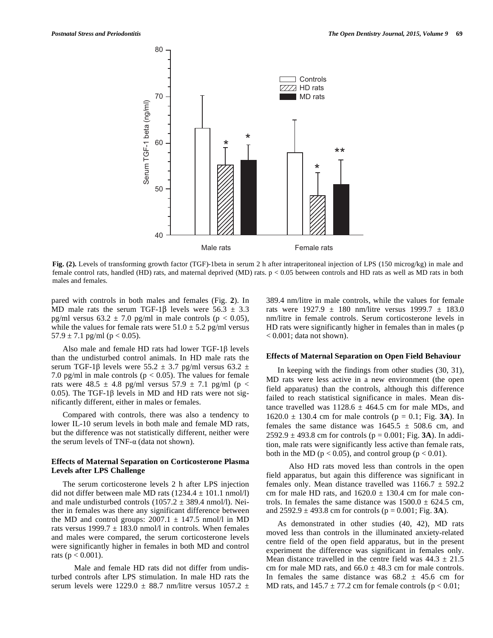

**Fig. (2).** Levels of transforming growth factor (TGF)-1beta in serum 2 h after intraperitoneal injection of LPS (150 microg/kg) in male and female control rats, handled (HD) rats, and maternal deprived (MD) rats. p < 0.05 between controls and HD rats as well as MD rats in both males and females.

pared with controls in both males and females (Fig. **2**). In MD male rats the serum TGF-1 $\beta$  levels were 56.3  $\pm$  3.3 pg/ml versus  $63.2 \pm 7.0$  pg/ml in male controls ( $p < 0.05$ ), while the values for female rats were  $51.0 \pm 5.2$  pg/ml versus  $57.9 \pm 7.1$  pg/ml (p < 0.05).

Also male and female HD rats had lower  $TGF-1\beta$  levels than the undisturbed control animals. In HD male rats the serum TGF-1 $\beta$  levels were 55.2  $\pm$  3.7 pg/ml versus 63.2  $\pm$ 7.0 pg/ml in male controls ( $p < 0.05$ ). The values for female rats were 48.5  $\pm$  4.8 pg/ml versus 57.9  $\pm$  7.1 pg/ml (p < 0.05). The TGF-1 $\beta$  levels in MD and HD rats were not significantly different, either in males or females.

Compared with controls, there was also a tendency to lower IL-10 serum levels in both male and female MD rats, but the difference was not statistically different, neither were the serum levels of TNF- $\alpha$  (data not shown).

## **Effects of Maternal Separation on Corticosterone Plasma Levels after LPS Challenge**

The serum corticosterone levels 2 h after LPS injection did not differ between male MD rats  $(1234.4 \pm 101.1 \text{ nmol/l})$ and male undisturbed controls  $(1057.2 \pm 389.4 \text{ nmol/l})$ . Neither in females was there any significant difference between the MD and control groups:  $2007.1 \pm 147.5$  nmol/l in MD rats versus  $1999.7 \pm 183.0$  nmol/l in controls. When females and males were compared, the serum corticosterone levels were significantly higher in females in both MD and control rats ( $p < 0.001$ ).

 Male and female HD rats did not differ from undisturbed controls after LPS stimulation. In male HD rats the serum levels were 1229.0  $\pm$  88.7 nm/litre versus 1057.2  $\pm$  389.4 nm/litre in male controls, while the values for female rats were  $1927.9 \pm 180$  nm/litre versus  $1999.7 \pm 183.0$ nm/litre in female controls. Serum corticosterone levels in HD rats were significantly higher in females than in males (p  $< 0.001$ ; data not shown).

#### **Effects of Maternal Separation on Open Field Behaviour**

In keeping with the findings from other studies (30, 31), MD rats were less active in a new environment (the open field apparatus) than the controls, although this difference failed to reach statistical significance in males. Mean distance travelled was  $1128.6 \pm 464.5$  cm for male MDs, and  $1620.0 \pm 130.4$  cm for male controls ( $p = 0.1$ ; Fig. 3A). In females the same distance was  $1645.5 \pm 508.6$  cm, and  $2592.9 \pm 493.8$  cm for controls ( $p = 0.001$ ; Fig. **3A**). In addition, male rats were significantly less active than female rats, both in the MD ( $p < 0.05$ ), and control group ( $p < 0.01$ ).

 Also HD rats moved less than controls in the open field apparatus, but again this difference was significant in females only. Mean distance travelled was  $1166.7 \pm 592.2$ cm for male HD rats, and  $1620.0 \pm 130.4$  cm for male controls. In females the same distance was  $1500.0 \pm 624.5$  cm, and  $2592.9 \pm 493.8$  cm for controls ( $p = 0.001$ ; Fig. **3A**).

As demonstrated in other studies (40, 42), MD rats moved less than controls in the illuminated anxiety-related centre field of the open field apparatus, but in the present experiment the difference was significant in females only. Mean distance travelled in the centre field was  $44.3 \pm 21.5$ cm for male MD rats, and  $66.0 \pm 48.3$  cm for male controls. In females the same distance was  $68.2 \pm 45.6$  cm for MD rats, and  $145.7 \pm 77.2$  cm for female controls ( $p < 0.01$ ;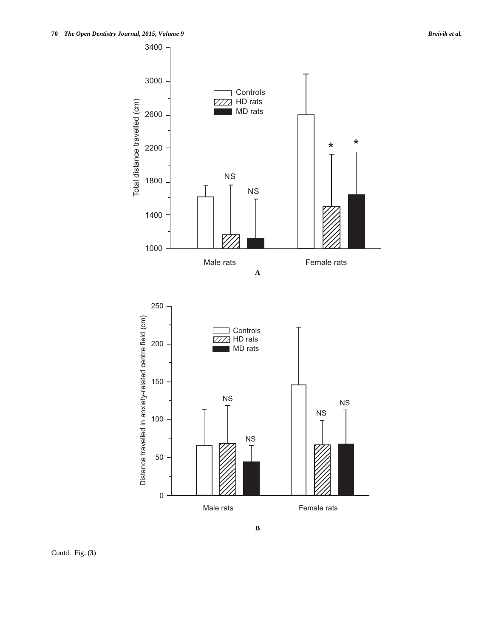

Contd. Fig. (**3**)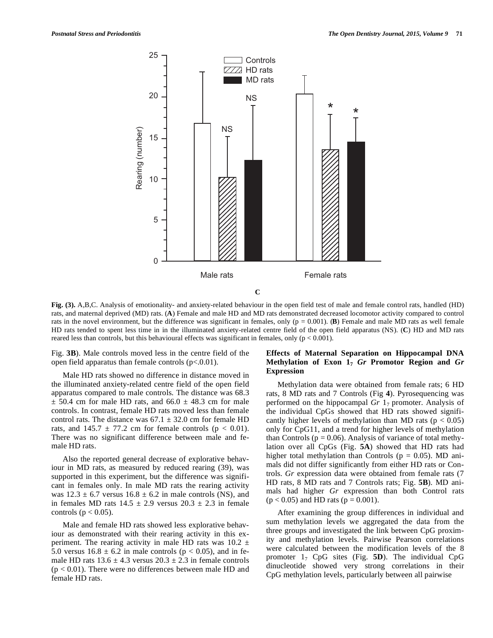

**Fig. (3).** A,B,C. Analysis of emotionality- and anxiety-related behaviour in the open field test of male and female control rats, handled (HD) rats, and maternal deprived (MD) rats. (**A**) Female and male HD and MD rats demonstrated decreased locomotor activity compared to control rats in the novel environment, but the difference was significant in females, only  $(p = 0.001)$ . **(B)** Female and male MD rats as well female HD rats tended to spent less time in in the illuminated anxiety-related centre field of the open field apparatus (NS). (**C**) HD and MD rats reared less than controls, but this behavioural effects was significant in females, only  $(p < 0.001)$ .

Fig. **3B**). Male controls moved less in the centre field of the open field apparatus than female controls  $(p<.0.01)$ .

Male HD rats showed no difference in distance moved in the illuminated anxiety-related centre field of the open field apparatus compared to male controls. The distance was 68.3  $\pm$  50.4 cm for male HD rats, and 66.0  $\pm$  48.3 cm for male controls. In contrast, female HD rats moved less than female control rats. The distance was  $67.1 \pm 32.0$  cm for female HD rats, and  $145.7 \pm 77.2$  cm for female controls ( $p < 0.01$ ). There was no significant difference between male and female HD rats.

Also the reported general decrease of explorative behaviour in MD rats, as measured by reduced rearing (39), was supported in this experiment, but the difference was significant in females only. In male MD rats the rearing activity was  $12.3 \pm 6.7$  versus  $16.8 \pm 6.2$  in male controls (NS), and in females MD rats  $14.5 \pm 2.9$  versus  $20.3 \pm 2.3$  in female controls ( $p < 0.05$ ).

Male and female HD rats showed less explorative behaviour as demonstrated with their rearing activity in this experiment. The rearing activity in male HD rats was  $10.2 \pm$ 5.0 versus  $16.8 \pm 6.2$  in male controls ( $p < 0.05$ ), and in female HD rats  $13.6 \pm 4.3$  versus  $20.3 \pm 2.3$  in female controls  $(p < 0.01)$ . There were no differences between male HD and female HD rats.

# **Effects of Maternal Separation on Hippocampal DNA Methylation of Exon 17** *Gr* **Promotor Region and** *Gr*  **Expression**

Methylation data were obtained from female rats; 6 HD rats, 8 MD rats and 7 Controls (Fig **4**). Pyrosequencing was performed on the hippocampal  $Gr 1<sub>7</sub>$  promoter. Analysis of the individual CpGs showed that HD rats showed significantly higher levels of methylation than MD rats ( $p < 0.05$ ) only for CpG11, and a trend for higher levels of methylation than Controls ( $p = 0.06$ ). Analysis of variance of total methylation over all CpGs (Fig. **5A**) showed that HD rats had higher total methylation than Controls ( $p = 0.05$ ). MD animals did not differ significantly from either HD rats or Controls. *Gr* expression data were obtained from female rats (7 HD rats, 8 MD rats and 7 Controls rats; Fig. **5B**). MD animals had higher *Gr* expression than both Control rats  $(p < 0.05)$  and HD rats  $(p = 0.001)$ .

After examining the group differences in individual and sum methylation levels we aggregated the data from the three groups and investigated the link between CpG proximity and methylation levels. Pairwise Pearson correlations were calculated between the modification levels of the 8 promoter 17 CpG sites (Fig. **5D**). The individual CpG dinucleotide showed very strong correlations in their CpG methylation levels, particularly between all pairwise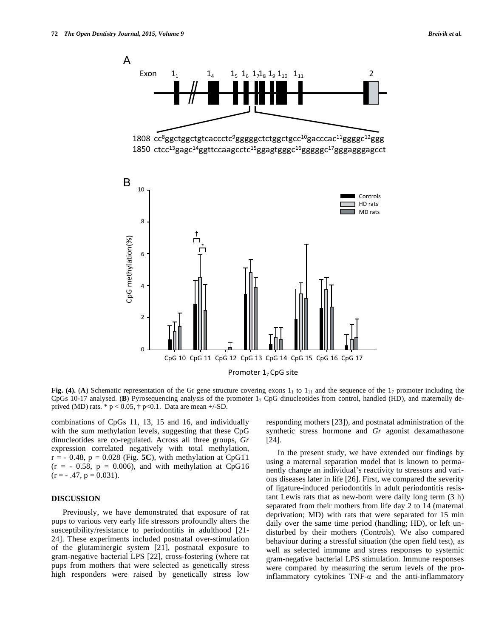

**Fig. (4).** (A) Schematic representation of the Gr gene structure covering exons  $1<sub>1</sub>$  to  $1<sub>11</sub>$  and the sequence of the  $1<sub>7</sub>$  promoter including the CpGs 10-17 analysed. (**B**) Pyrosequencing analysis of the promoter 17 CpG dinucleotides from control, handled (HD), and maternally deprived (MD) rats. \*  $p < 0.05$ ,  $\dagger$  p<0.1. Data are mean +/-SD.

combinations of CpGs 11, 13, 15 and 16, and individually with the sum methylation levels, suggesting that these CpG dinucleotides are co-regulated. Across all three groups, *Gr* expression correlated negatively with total methylation,  $r = -0.48$ ,  $p = 0.028$  (Fig. 5C), with methylation at CpG11  $(r = -0.58, p = 0.006)$ , and with methylation at CpG16  $(r = -0.47, p = 0.031).$ 

### **DISCUSSION**

Previously, we have demonstrated that exposure of rat pups to various very early life stressors profoundly alters the susceptibility/resistance to periodontitis in adulthood [21- 24]. These experiments included postnatal over-stimulation of the glutaminergic system [21], postnatal exposure to gram-negative bacterial LPS [22], cross-fostering (where rat pups from mothers that were selected as genetically stress high responders were raised by genetically stress low

responding mothers [23]), and postnatal administration of the synthetic stress hormone and *Gr* agonist dexamathasone [24].

In the present study, we have extended our findings by using a maternal separation model that is known to permanently change an individual's reactivity to stressors and various diseases later in life [26]. First, we compared the severity of ligature-induced periodontitis in adult periodontitis resistant Lewis rats that as new-born were daily long term (3 h) separated from their mothers from life day 2 to 14 (maternal deprivation; MD) with rats that were separated for 15 min daily over the same time period (handling; HD), or left undisturbed by their mothers (Controls). We also compared behaviour during a stressful situation (the open field test), as well as selected immune and stress responses to systemic gram-negative bacterial LPS stimulation. Immune responses were compared by measuring the serum levels of the proinflammatory cytokines  $TNF-\alpha$  and the anti-inflammatory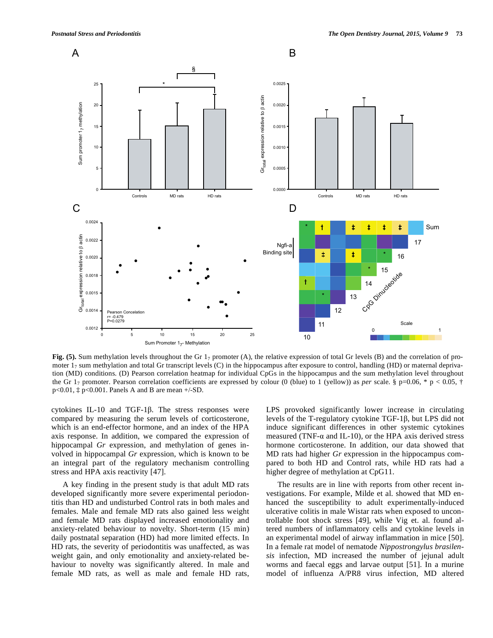

**Fig. (5).** Sum methylation levels throughout the Gr 1<sub>7</sub> promoter (A), the relative expression of total Gr levels (B) and the correlation of promoter  $1<sub>7</sub>$  sum methylation and total Gr transcript levels (C) in the hippocampus after exposure to control, handling (HD) or maternal deprivation (MD) conditions. (D) Pearson correlation heatmap for individual CpGs in the hippocampus and the sum methylation level throughout the Gr 1<sub>7</sub> promoter. Pearson correlation coefficients are expressed by colour (0 (blue) to 1 (yellow)) as *per* scale. § p=0.06, \* p < 0.05, † p<0.01, ‡ p<0.001. Panels A and B are mean +/-SD.

cytokines IL-10 and TGF-1 $\beta$ . The stress responses were compared by measuring the serum levels of corticosterone, which is an end-effector hormone, and an index of the HPA axis response. In addition, we compared the expression of hippocampal *Gr* expression, and methylation of genes involved in hippocampal *Gr* expression, which is known to be an integral part of the regulatory mechanism controlling stress and HPA axis reactivity [47].

A key finding in the present study is that adult MD rats developed significantly more severe experimental periodontitis than HD and undisturbed Control rats in both males and females. Male and female MD rats also gained less weight and female MD rats displayed increased emotionality and anxiety-related behaviour to novelty. Short-term (15 min) daily postnatal separation (HD) had more limited effects. In HD rats, the severity of periodontitis was unaffected, as was weight gain, and only emotionality and anxiety-related behaviour to novelty was significantly altered. In male and female MD rats, as well as male and female HD rats, LPS provoked significantly lower increase in circulating levels of the T-regulatory cytokine  $TGF-1\beta$ , but LPS did not induce significant differences in other systemic cytokines measured (TNF- $\alpha$  and IL-10), or the HPA axis derived stress hormone corticosterone. In addition, our data showed that MD rats had higher *Gr* expression in the hippocampus compared to both HD and Control rats, while HD rats had a higher degree of methylation at CpG11.

The results are in line with reports from other recent investigations. For example, Milde et al. showed that MD enhanced the susceptibility to adult experimentally-induced ulcerative colitis in male Wistar rats when exposed to uncontrollable foot shock stress [49], while Vig et. al. found altered numbers of inflammatory cells and cytokine levels in an experimental model of airway inflammation in mice [50]. In a female rat model of nematode *Nippostrongylus brasilensis* infection, MD increased the number of jejunal adult worms and faecal eggs and larvae output [51]. In a murine model of influenza A/PR8 virus infection, MD altered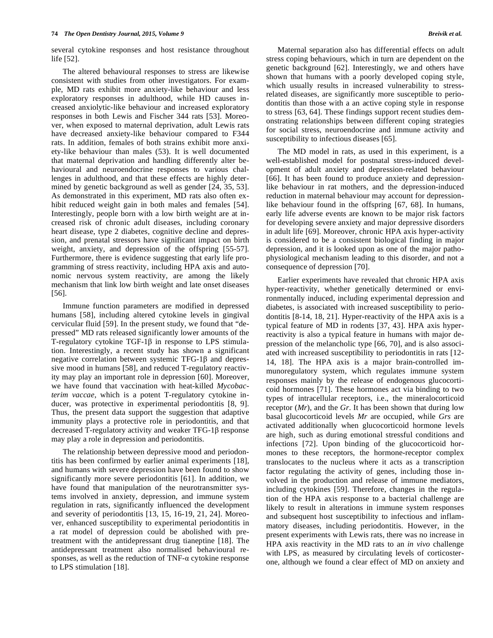several cytokine responses and host resistance throughout life [52].

The altered behavioural responses to stress are likewise consistent with studies from other investigators. For example, MD rats exhibit more anxiety-like behaviour and less exploratory responses in adulthood, while HD causes increased anxiolytic-like behaviour and increased exploratory responses in both Lewis and Fischer 344 rats [53]. Moreover, when exposed to maternal deprivation, adult Lewis rats have decreased anxiety-like behaviour compared to F344 rats. In addition, females of both strains exhibit more anxiety-like behaviour than males (53). It is well documented that maternal deprivation and handling differently alter behavioural and neuroendocrine responses to various challenges in adulthood, and that these effects are highly determined by genetic background as well as gender [24, 35, 53]. As demonstrated in this experiment, MD rats also often exhibit reduced weight gain in both males and females [54]. Interestingly, people born with a low birth weight are at increased risk of chronic adult diseases, including coronary heart disease, type 2 diabetes, cognitive decline and depression, and prenatal stressors have significant impact on birth weight, anxiety, and depression of the offspring [55-57]. Furthermore, there is evidence suggesting that early life programming of stress reactivity, including HPA axis and autonomic nervous system reactivity, are among the likely mechanism that link low birth weight and late onset diseases [56].

Immune function parameters are modified in depressed humans [58], including altered cytokine levels in gingival cervicular fluid [59]. In the present study, we found that "depressed" MD rats released significantly lower amounts of the T-regulatory cytokine TGF-1 $\beta$  in response to LPS stimulation. Interestingly, a recent study has shown a significant negative correlation between systemic TFG-1 $\beta$  and depressive mood in humans [58], and reduced T-regulatory reactivity may play an important role in depression [60]. Moreover, we have found that vaccination with heat-killed *Mycobacterim vaccae*, which is a potent T-regulatory cytokine inducer, was protective in experimental periodontitis [8, 9]. Thus, the present data support the suggestion that adaptive immunity plays a protective role in periodontitis, and that decreased T-regulatory activity and weaker TFG-1 $\beta$  response may play a role in depression and periodontitis.

The relationship between depressive mood and periodontitis has been confirmed by earlier animal experiments [18], and humans with severe depression have been found to show significantly more severe periodontitis [61]. In addition, we have found that manipulation of the neurotransmitter systems involved in anxiety, depression, and immune system regulation in rats, significantly influenced the development and severity of periodontitis [13, 15, 16-19, 21, 24]. Moreover, enhanced susceptibility to experimental periodontitis in a rat model of depression could be abolished with pretreatment with the antidepressant drug tianeptine [18]. The antidepressant treatment also normalised behavioural responses, as well as the reduction of  $TNF-\alpha$  cytokine response to LPS stimulation [18].

Maternal separation also has differential effects on adult stress coping behaviours, which in turn are dependent on the genetic background [62]. Interestingly, we and others have shown that humans with a poorly developed coping style, which usually results in increased vulnerability to stressrelated diseases, are significantly more susceptible to periodontitis than those with a an active coping style in response to stress [63, 64]. These findings support recent studies demonstrating relationships between different coping strategies for social stress, neuroendocrine and immune activity and susceptibility to infectious diseases [65].

The MD model in rats, as used in this experiment, is a well-established model for postnatal stress-induced development of adult anxiety and depression-related behaviour [66]. It has been found to produce anxiety and depressionlike behaviour in rat mothers, and the depression-induced reduction in maternal behaviour may account for depressionlike behaviour found in the offspring [67, 68]. In humans, early life adverse events are known to be major risk factors for developing severe anxiety and major depressive disorders in adult life [69]. Moreover, chronic HPA axis hyper-activity is considered to be a consistent biological finding in major depression, and it is looked upon as one of the major pathophysiological mechanism leading to this disorder, and not a consequence of depression [70].

Earlier experiments have revealed that chronic HPA axis hyper-reactivity, whether genetically determined or environmentally induced, including experimental depression and diabetes, is associated with increased susceptibility to periodontitis [8-14, 18, 21]. Hyper-reactivity of the HPA axis is a typical feature of MD in rodents [37, 43]. HPA axis hyperreactivity is also a typical feature in humans with major depression of the melancholic type [66, 70], and is also associated with increased susceptibility to periodontitis in rats [12- 14, 18]. The HPA axis is a major brain-controlled immunoregulatory system, which regulates immune system responses mainly by the release of endogenous glucocorticoid hormones [71]. These hormones act via binding to two types of intracellular receptors, i.e., the mineralocorticoid receptor (*Mr*), and the *Gr*. It has been shown that during low basal glucocorticoid levels *Mr* are occupied, while *Grs* are activated additionally when glucocorticoid hormone levels are high, such as during emotional stressful conditions and infections [72]. Upon binding of the glucocorticoid hormones to these receptors, the hormone-receptor complex translocates to the nucleus where it acts as a transcription factor regulating the activity of genes, including those involved in the production and release of immune mediators, including cytokines [59]. Therefore, changes in the regulation of the HPA axis response to a bacterial challenge are likely to result in alterations in immune system responses and subsequent host susceptibility to infectious and inflammatory diseases, including periodontitis. However, in the present experiments with Lewis rats, there was no increase in HPA axis reactivity in the MD rats to an *in vivo* challenge with LPS, as measured by circulating levels of corticosterone, although we found a clear effect of MD on anxiety and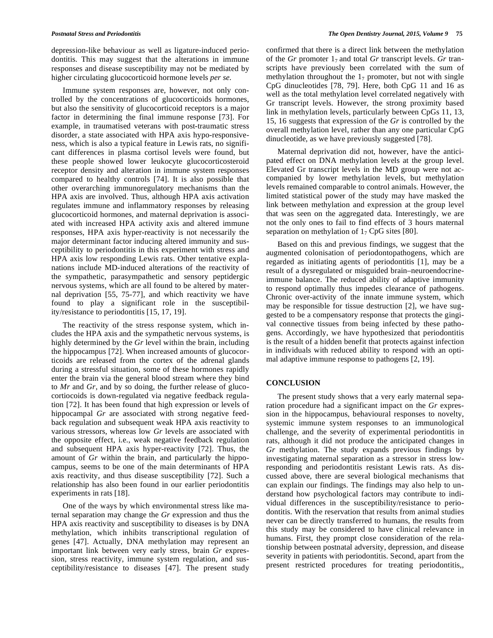depression-like behaviour as well as ligature-induced periodontitis. This may suggest that the alterations in immune responses and disease susceptibility may not be mediated by higher circulating glucocorticoid hormone levels *per se.*

Immune system responses are, however, not only controlled by the concentrations of glucocorticoids hormones, but also the sensitivity of glucocorticoid receptors is a major factor in determining the final immune response [73]. For example, in traumatised veterans with post-traumatic stress disorder, a state associated with HPA axis hypo-responsiveness, which is also a typical feature in Lewis rats, no significant differences in plasma cortisol levels were found, but these people showed lower leukocyte glucocorticosteroid receptor density and alteration in immune system responses compared to healthy controls [74]. It is also possible that other overarching immunoregulatory mechanisms than the HPA axis are involved. Thus, although HPA axis activation regulates immune and inflammatory responses by releasing glucocorticoid hormones, and maternal deprivation is associated with increased HPA activity axis and altered immune responses, HPA axis hyper-reactivity is not necessarily the major determinant factor inducing altered immunity and susceptibility to periodontitis in this experiment with stress and HPA axis low responding Lewis rats. Other tentative explanations include MD-induced alterations of the reactivity of the sympathetic, parasympathetic and sensory peptidergic nervous systems, which are all found to be altered by maternal deprivation [55, 75-77], and which reactivity we have found to play a significant role in the susceptibility/resistance to periodontitis [15, 17, 19].

The reactivity of the stress response system, which includes the HPA axis and the sympathetic nervous systems, is highly determined by the *Gr* level within the brain, including the hippocampus [72]. When increased amounts of glucocorticoids are released from the cortex of the adrenal glands during a stressful situation, some of these hormones rapidly enter the brain via the general blood stream where they bind to *Mr* and *Gr*, and by so doing, the further release of glucocortiocoids is down-regulated via negative feedback regulation [72]. It has been found that high expression or levels of hippocampal *Gr* are associated with strong negative feedback regulation and subsequent weak HPA axis reactivity to various stressors, whereas low *Gr* levels are associated with the opposite effect, i.e., weak negative feedback regulation and subsequent HPA axis hyper-reactivity [72]. Thus, the amount of *Gr* within the brain, and particularly the hippocampus, seems to be one of the main determinants of HPA axis reactivity, and thus disease susceptibility [72]. Such a relationship has also been found in our earlier periodontitis experiments in rats [18].

One of the ways by which environmental stress like maternal separation may change the *Gr* expression and thus the HPA axis reactivity and susceptibility to diseases is by DNA methylation, which inhibits transcriptional regulation of genes [47]. Actually, DNA methylation may represent an important link between very early stress, brain *Gr* expression, stress reactivity, immune system regulation, and susceptibility/resistance to diseases [47]. The present study confirmed that there is a direct link between the methylation of the *Gr* promoter 17 and total *Gr* transcript levels. *Gr* transcripts have previously been correlated with the sum of methylation throughout the  $1<sub>7</sub>$  promoter, but not with single CpG dinucleotides [78, 79]. Here, both CpG 11 and 16 as well as the total methylation level correlated negatively with Gr transcript levels. However, the strong proximity based link in methylation levels, particularly between CpGs 11, 13, 15, 16 suggests that expression of the *Gr* is controlled by the overall methylation level, rather than any one particular CpG dinucleotide, as we have previously suggested [78].

Maternal deprivation did not, however, have the anticipated effect on DNA methylation levels at the group level. Elevated Gr transcript levels in the MD group were not accompanied by lower methylation levels, but methylation levels remained comparable to control animals. However, the limited statistical power of the study may have masked the link between methylation and expression at the group level that was seen on the aggregated data. Interestingly, we are not the only ones to fail to find effects of 3 hours maternal separation on methylation of  $1<sub>7</sub>$  CpG sites [80].

Based on this and previous findings, we suggest that the augmented colonisation of periodontopathogens, which are regarded as initiating agents of periodontitis [1], may be a result of a dysregulated or misguided brain–neuroendocrineimmune balance. The reduced ability of adaptive immunity to respond optimally thus impedes clearance of pathogens. Chronic over-activity of the innate immune system, which may be responsible for tissue destruction [2], we have suggested to be a compensatory response that protects the gingival connective tissues from being infected by these pathogens. Accordingly, we have hypothesized that periodontitis is the result of a hidden benefit that protects against infection in individuals with reduced ability to respond with an optimal adaptive immune response to pathogens [2, 19].

### **CONCLUSION**

The present study shows that a very early maternal separation procedure had a significant impact on the *Gr* expression in the hippocampus, behavioural responses to novelty, systemic immune system responses to an immunological challenge, and the severity of experimental periodontitis in rats, although it did not produce the anticipated changes in *Gr* methylation. The study expands previous findings by investigating maternal separation as a stressor in stress lowresponding and periodontitis resistant Lewis rats. As discussed above, there are several biological mechanisms that can explain our findings. The findings may also help to understand how psychological factors may contribute to individual differences in the susceptibility/resistance to periodontitis. With the reservation that results from animal studies never can be directly transferred to humans, the results from this study may be considered to have clinical relevance in humans. First, they prompt close consideration of the relationship between postnatal adversity, depression, and disease severity in patients with periodontitis. Second, apart from the present restricted procedures for treating periodontitis,,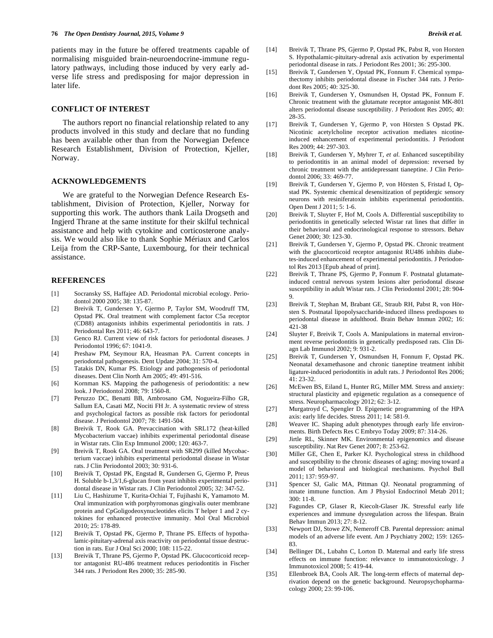patients may in the future be offered treatments capable of normalising misguided brain-neuroendocrine-immune regulatory pathways, including those induced by very early adverse life stress and predisposing for major depression in later life.

### **CONFLICT OF INTEREST**

The authors report no financial relationship related to any products involved in this study and declare that no funding has been available other than from the Norwegian Defence Research Establishment, Division of Protection, Kjeller, Norway.

## **ACKNOWLEDGEMENTS**

We are grateful to the Norwegian Defence Research Establishment, Division of Protection, Kjeller, Norway for supporting this work. The authors thank Laila Drogseth and Ingjerd Thrane at the same institute for their skilful technical assistance and help with cytokine and corticosterone analysis. We would also like to thank Sophie Mériaux and Carlos Leija from the CRP-Sante, Luxembourg, for their technical assistance.

#### **REFERENCES**

- [1] Socransky SS, Haffajee AD. Periodontal microbial ecology. Periodontol 2000 2005; 38: 135-87.
- [2] Breivik T, Gundersen Y, Gjermo P, Taylor SM, Woodruff TM, Opstad PK. Oral treatment with complement factor C5a receptor (CD88) antagonists inhibits experimental periodontitis in rats. J Periodontal Res 2011; 46: 643-7.
- [3] Genco RJ. Current view of risk factors for periodontal diseases. J Periodontol 1996; 67: 1041-9.
- [4] Preshaw PM, Seymour RA, Heasman PA. Current concepts in periodontal pathogenesis. Dent Update 2004; 31: 570-4.
- [5] Tatakis DN, Kumar PS. Etiology and pathogenesis of periodontal diseases. Dent Clin North Am 2005; 49: 491-516.
- [6] Kornman KS. Mapping the pathogenesis of periodontitis: a new look. J Periodontol 2008; 79: 1560-8.
- [7] Peruzzo DC, Benatti BB, Ambrosano GM, Nogueira-Filho GR, Sallum EA, Casati MZ, Nociti FH Jr. A systematic review of stress and psychological factors as possible risk factors for periodontal disease. J Periodontol 2007; 78: 1491-504.
- [8] Breivik T, Rook GA. Prevaccination with SRL172 (heat-killed Mycobacterium vaccae) inhibits experimental periodontal disease in Wistar rats. Clin Exp Immunol 2000; 120: 463-7.
- [9] Breivik T, Rook GA. Oral treatment with SR299 (killed Mycobacterium vaccae) inhibits experimental periodontal disease in Wistar rats. J Clin Periodontol 2003; 30: 931-6.
- [10] Breivik T, Opstad PK, Engstad R, Gundersen G, Gjermo P, Preus H. Soluble b-1,3/1,6-glucan from yeast inhibits experimental periodontal disease in Wistar rats. J Clin Periodontol 2005; 32: 347-52.
- [11] Liu C, Hashizume T, Kurita-Ochiai T, Fujihashi K, Yamamoto M. Oral immunization with porphyromonas gingivalis outer membrane protein and CpGoligodeoxynucleotides elicits T helper 1 and 2 cytokines for enhanced protective immunity. Mol Oral Microbiol 2010; 25: 178-89.
- [12] Breivik T, Opstad PK, Gjermo P, Thrane PS. Effects of hypothalamic-pituitary-adrenal axis reactivity on periodontal tissue destruction in rats. Eur J Oral Sci 2000; 108: 115-22.
- [13] Breivik T, Thrane PS, Gjermo P, Opstad PK. Glucocorticoid receptor antagonist RU-486 treatment reduces periodontitis in Fischer 344 rats. J Periodont Res 2000; 35: 285-90.
- [14] Breivik T, Thrane PS, Gjermo P, Opstad PK, Pabst R, von Horsten S. Hypothalamic-pituitary-adrenal axis activation by experimental periodontal disease in rats. J Periodont Res 2001; 36: 295-300.
- [15] Breivik T, Gundersen Y, Opstad PK, Fonnum F. Chemical sympathectomy inhibits periodontal disease in Fischer 344 rats. J Periodont Res 2005; 40: 325-30.
- [16] Breivik T, Gundersen Y, Osmundsen H, Opstad PK, Fonnum F. Chronic treatment with the glutamate receptor antagonist MK-801 alters periodontal disease susceptibility. J Periodont Res 2005; 40: 28-35.
- [17] Breivik T, Gundersen Y, Gjermo P, von Hörsten S Opstad PK. Nicotinic acetylcholine receptor activation mediates nicotineinduced enhancement of experimental periodontitis. J Periodont Res 2009; 44: 297-303.
- [18] Breivik T, Gundersen Y, Myhrer T, *et al.* Enhanced susceptibility to periodontitis in an animal model of depression: reversed by chronic treatment with the antidepressant tianeptine. J Clin Periodontol 2006; 33: 469-77.
- [19] Breivik T, Gundersen Y, Gjermo P, von Hörsten S, Fristad I, Opstad PK. Systemic chemical desensitization of peptidergic sensory neurons with resiniferatoxin inhibits experimental periodontitis. Open Dent J 2011; 5: 1-6.
- [20] Breivik T, Sluyter F, Hof M, Cools A. Differential susceptibility to periodontitis in genetically selected Wistar rat lines that differ in their behavioral and endocrinological response to stressors. Behav Genet 2000; 30: 123-30.
- [21] Breivik T, Gundersen Y, Gjermo P, Opstad PK. Chronic treatment with the glucocorticoid receptor antagonist RU486 inhibits diabetes-induced enhancement of experimental periodontitis. J Periodontol Res 2013 [Epub ahead of print].
- [22] Breivik T, Thrane PS, Gjermo P, Fonnum F. Postnatal glutamateinduced central nervous system lesions alter periodontal disease susceptibility in adult Wistar rats. J Clin Periodontol 2001; 28: 904- 9.
- [23] Breivik T, Stephan M, Brabant GE, Straub RH, Pabst R, von Hörsten S. Postnatal lipopolysaccharide-induced illness predisposes to periodontal disease in adulthood. Brain Behav Immun 2002; 16: 421-38
- [24] Sluyter F, Breivik T, Cools A. Manipulations in maternal environment reverse periodontitis in genetically predisposed rats. Clin Diagn Lab Immunol 2002; 9: 931-2.
- [25] Breivik T, Gundersen Y, Osmundsen H, Fonnum F, Opstad PK. Neonatal dexamethasone and chronic tianeptine treatment inhibit ligature-induced periodontitis in adult rats. J Periodontol Res 2006; 41: 23-32.
- [26] McEwen BS, Eiland L, Hunter RG, Miller MM. Stress and anxiety: structural plasticity and epigenetic regulation as a consequence of stress. Neuropharmacology 2012; 62: 3-12.
- [27] Murgatroyd C, Spengler D. Epigenetic programming of the HPA axis: early life decides. Stress 2011; 14: 581-9.
- [28] Weaver IC. Shaping adult phenotypes through early life environments. Birth Defects Res C Embryo Today 2009; 87: 314-26.
- [29] Jirtle RL, Skinner MK. Environmental epigenomics and disease susceptibility. Nat Rev Genet 2007; 8: 253-62.
- [30] Miller GE, Chen E, Parker KJ. Psychological stress in childhood and susceptibility to the chronic diseases of aging: moving toward a model of behavioral and biological mechanisms. Psychol Bull 2011; 137: 959-97.
- [31] Spencer SJ, Galic MA, Pittman QJ. Neonatal programming of innate immune function. Am J Physiol Endocrinol Metab 2011; 300: 11-8.
- [32] Fagundes CP, Glaser R, Kiecolt-Glaser JK. Stressful early life experiences and immune dysregulation across the lifespan. Brain Behav Immun 2013; 27: 8-12.
- [33] Newport DJ, Stowe ZN, Nemeroff CB. Parental depression: animal models of an adverse life event. Am J Psychiatry 2002; 159: 1265- 83.
- [34] Bellinger DL, Lubahn C, Lorton D. Maternal and early life stress effects on immune function: relevance to immunotoxicology. J Immunotoxicol 2008; 5: 419-44.
- [35] Ellenbroek BA, Cools AR. The long-term effects of maternal deprivation depend on the genetic background. Neuropsychopharmacology 2000; 23: 99-106.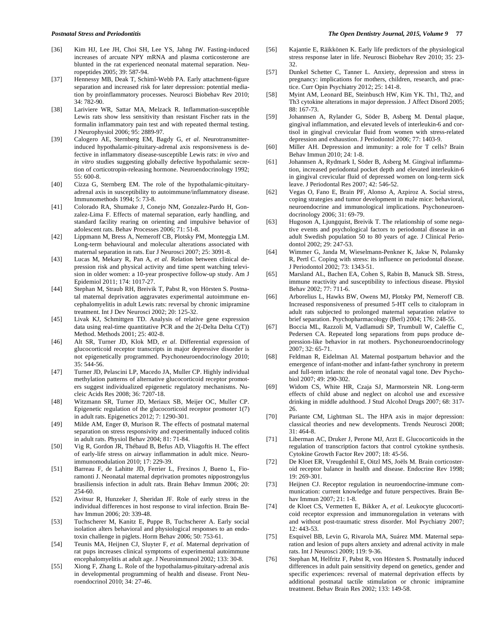- [36] Kim HJ, Lee JH, Choi SH, Lee YS, Jahng JW. Fasting-induced increases of arcuate NPY mRNA and plasma corticosterone are blunted in the rat experienced neonatal maternal separation. Neuropeptides 2005; 39: 587-94.
- [37] Hennessy MB, Deak T, Schiml-Webb PA. Early attachment-figure separation and increased risk for later depression: potential mediation by proinflammatory processes. Neurosci Biobehav Rev 2010; 34: 782-90.
- [38] Lariviere WR, Sattar MA, Melzack R. Inflammation-susceptible Lewis rats show less sensitivity than resistant Fischer rats in the formalin inflammatory pain test and with repeated thermal testing. J Neurophysiol 2006; 95: 2889-97.
- [39] Calogero AE, Sternberg EM, Bagdy G, *et al*. Neurotransmitterinduced hypothalamic-pituitary-adrenal axis responsiveness is defective in inflammatory disease-susceptible Lewis rats: *in vivo* and *in vitro* studies suggesting globally defective hypothalamic secretion of corticotropin-releasing hormone. Neuroendocrinology 1992; 55: 600-8.
- [40] Cizza G, Sternberg EM. The role of the hypothalamic-pituitaryadrenal axis in susceptibility to autoimmune/inflammatory disease. Immunomethods 1994; 5: 73-8.
- [41] Colorado RA, Shumake J, Conejo NM, Gonzalez-Pardo H, Gonzalez-Lima F. Effects of maternal separation, early handling, and standard facility rearing on orienting and impulsive behavior of adolescent rats. Behav Processes 2006; 71: 51-8.
- [42] Lippmann M, Bress A, Nemeroff CB, Plotsky PM, Monteggia LM. Long-term behavioural and molecular alterations associated with maternal separation in rats. Eur J Neurosci 2007; 25: 3091-8.
- [43] Lucas M, Mekary R, Pan A, *et al*. Relation between clinical depression risk and physical activity and time spent watching television in older women: a 10-year prospective follow-up study. Am J Epidemiol 2011; 174: 1017-27.
- [44] Stephan M, Straub RH, Breivik T, Pabst R, von Hörsten S. Postnatal maternal deprivation aggravates experimental autoimmune encephalomyelitis in adult Lewis rats: reversal by chronic imipramine treatment. Int J Dev Neurosci 2002; 20: 125-32.
- [45] Livak KJ, Schmittgen TD. Analysis of relative gene expression data using real-time quantitative PCR and the 2(-Delta Delta C(T)) Method. Methods 2001; 25: 402-8.
- [46] Alt SR, Turner JD, Klok MD, *et al*. Differential expression of glucocorticoid receptor transcripts in major depressive disorder is not epigenetically programmed. Psychoneuroendocrinology 2010; 35: 544-56.
- [47] Turner JD, Pelascini LP, Macedo JA, Muller CP. Highly individual methylation patterns of alternative glucocorticoid receptor promoters suggest individualized epigenetic regulatory mechanisms. Nucleic Acids Res 2008; 36: 7207-18.
- [48] Witzmann SR, Turner JD, Meriaux SB, Meijer OC, Muller CP. Epigenetic regulation of the glucocorticoid receptor promoter 1(7) in adult rats. Epigenetics 2012; 7: 1290-301.
- [49] Milde AM, Enger Ø, Murison R. The effects of postnatal maternal separation on stress responsivity and experimentally induced colitis in adult rats. Physiol Behav 2004; 81: 71-84.
- [50] Vig R, Gordon JR, Thébaud B, Befus AD, Vliagoftis H. The effect of early-life stress on airway inflammation in adult mice. Neuroimmunomodulation 2010; 17: 229-39.
- [51] Barreau F, de Lahitte JD, Ferrier L, Frexinos J, Bueno L, Fioramonti J. Neonatal maternal deprivation promotes nippostrongylus brasiliensis infection in adult rats. Brain Behav Immun 2006; 20: 254-60.
- [52] Avitsur R, Hunzeker J, Sheridan JF. Role of early stress in the individual differences in host response to viral infection. Brain Behav Immun 2006; 20: 339-48.
- [53] Tuchscherer M, Kanitz E, Puppe B, Tuchscherer A. Early social isolation alters behavioral and physiological responses to an endotoxin challenge in piglets. Horm Behav 2006; 50: 753-61.
- [54] Teunis MA, Heijnen CJ, Sluyter F, *et al*. Maternal deprivation of rat pups increases clinical symptoms of experimental autoimmune encephalomyelitis at adult age. J Neuroimmunol 2002; 133: 30-8.
- [55] Xiong F, Zhang L. Role of the hypothalamus-pituitary-adrenal axis in developmental programming of health and disease. Front Neuroendocrinol 2010; 34: 27-46.
- [56] Kajantie E, Räikkönen K. Early life predictors of the physiological stress response later in life. Neurosci Biobehav Rev 2010; 35: 23- 32.
- [57] Dunkel Schetter C, Tanner L. Anxiety, depression and stress in pregnancy: implications for mothers, children, research, and practice. Curr Opin Psychiatry 2012; 25: 141-8.
- [58] Myint AM, Leonard BE, Steinbusch HW, Kim YK. Th1, Th2, and Th3 cytokine alterations in major depression. J Affect Disord 2005; 88: 167-73.
- [59] Johannsen A, Rylander G, Söder B, Asberg M. Dental plaque, gingival inflammation, and elevated levels of interleukin-6 and cortisol in gingival crevicular fluid from women with stress-related depression and exhaustion. J Periodontol 2006; 77: 1403-9.
- [60] Miller AH. Depression and immunity: a role for T cells? Brain Behav Immun 2010; 24: 1-8.
- [61] Johannsen A, Rydmark I, Söder B, Asberg M. Gingival inflammation, increased periodontal pocket depth and elevated interleukin-6 in gingival crevicular fluid of depressed women on long-term sick leave. J Periodontal Res 2007; 42: 546-52.
- [62] Vegas O, Fano E, Brain PF, Alonso A, Azpiroz A. Social stress, coping strategies and tumor development in male mice: behavioral, neuroendocrine and immunological implications. Psychoneuroendocrinology 2006; 31: 69-79.
- [63] Hugoson A, Ljungquist, Breivik T. The relationship of some negative events and psychological factors to periodontal disease in an adult Swedish population 50 to 80 years of age. J Clinical Periodontol 2002; 29: 247-53.
- [64] Wimmer G, Janda M, Wieselmann-Penkner K, Jakse N, Polansky R, Pertl C. Coping with stress: its influence on periodontal disease. J Periodontol 2002; 73: 1343-51.
- [65] Marsland AL, Bachen EA, Cohen S, Rabin B, Manuck SB. Stress, immune reactivity and susceptibility to infectious disease. Physiol Behav 2002; 77: 711-6.
- [66] Arborelius L, Hawks BW, Owens MJ, Plotsky PM, Nemeroff CB. Increased responsiveness of presumed 5-HT cells to citalopram in adult rats subjected to prolonged maternal separation relative to brief separation. Psychopharmacology (Berl) 2004; 176: 248-55.
- [67] Boccia ML, Razzoli M, Vadlamudi SP, Trumbull W, Caleffie C, Pedersen CA. Repeated long separations from pups produce depression-like behavior in rat mothers. Psychoneuroendocrinology 2007; 32: 65-71.
- [68] Feldman R, Eidelman AI. Maternal postpartum behavior and the emergence of infant-mother and infant-father synchrony in preterm and full-term infants: the role of neonatal vagal tone. Dev Psychobiol 2007; 49: 290-302.
- [69] Widom CS, White HR, Czaja SJ, Marmorstein NR. Long-term effects of child abuse and neglect on alcohol use and excessive drinking in middle adulthood. J Stud Alcohol Drugs 2007; 68: 317- 26.
- [70] Pariante CM, Lightman SL. The HPA axis in major depression: classical theories and new developments. Trends Neurosci 2008; 31: 464-8.
- [71] Liberman AC, Druker J, Perone MJ, Arzt E. Glucocorticoids in the regulation of transcription factors that control cytokine synthesis. Cytokine Growth Factor Rev 2007; 18: 45-56.
- [72] De Kloet ER, Vreugdenhil E, Oitzl MS, Joëls M. Brain corticosteroid receptor balance in health and disease. Endocrine Rev 1998; 19: 269-301.
- [73] Heijnen CJ. Receptor regulation in neuroendocrine-immune communication: current knowledge and future perspectives. Brain Behav Immun 2007; 21: 1-8.
- [74] de Kloet CS, Vermetten E, Bikker A, *et al*. Leukocyte glucocorticoid receptor expression and immunoregulation in veterans with and without post-traumatic stress disorder. Mol Psychiatry 2007; 12: 443-53.
- [75] Esquivel BB, Levin G, Rivarola MA, Suárez MM. Maternal separation and lesion of pups alters anxiety and adrenal activity in male rats. Int J Neurosci 2009; 119: 9-36.
- [76] Stephan M, Helfritz F, Pabst R, von Hörsten S. Postnatally induced differences in adult pain sensitivity depend on genetics, gender and specific experiences: reversal of maternal deprivation effects by additional postnatal tactile stimulation or chronic imipramine treatment. Behav Brain Res 2002; 133: 149-58.